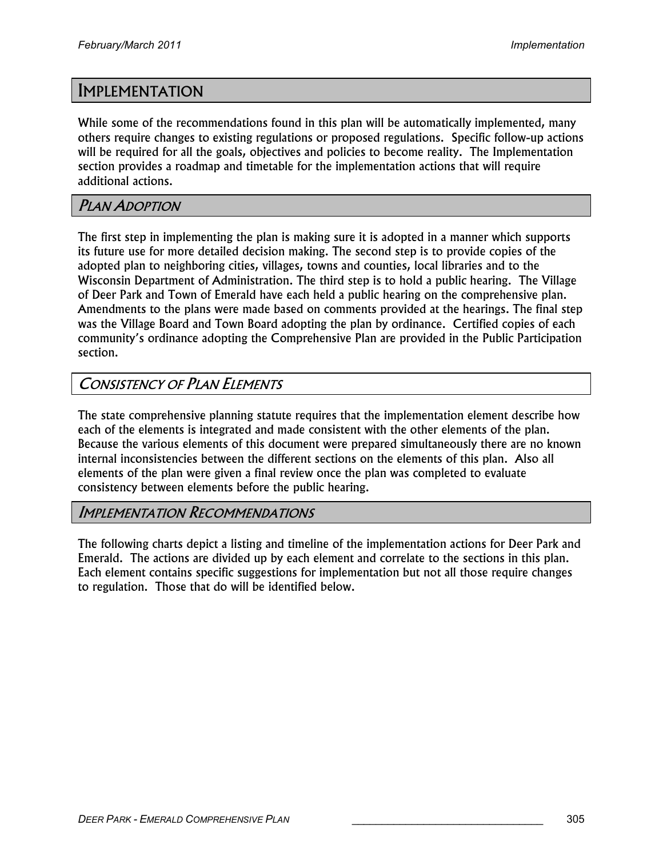# IMPLEMENTATION

While some of the recommendations found in this plan will be automatically implemented, many others require changes to existing regulations or proposed regulations. Specific follow-up actions will be required for all the goals, objectives and policies to become reality. The Implementation section provides a roadmap and timetable for the implementation actions that will require additional actions.

#### PLAN ADOPTION

The first step in implementing the plan is making sure it is adopted in a manner which supports its future use for more detailed decision making. The second step is to provide copies of the adopted plan to neighboring cities, villages, towns and counties, local libraries and to the Wisconsin Department of Administration. The third step is to hold a public hearing. The Village of Deer Park and Town of Emerald have each held a public hearing on the comprehensive plan. Amendments to the plans were made based on comments provided at the hearings. The final step was the Village Board and Town Board adopting the plan by ordinance. Certified copies of each community's ordinance adopting the Comprehensive Plan are provided in the Public Participation section.

### CONSISTENCY OF PLAN ELEMENTS

The state comprehensive planning statute requires that the implementation element describe how each of the elements is integrated and made consistent with the other elements of the plan. Because the various elements of this document were prepared simultaneously there are no known internal inconsistencies between the different sections on the elements of this plan. Also all elements of the plan were given a final review once the plan was completed to evaluate consistency between elements before the public hearing.

### IMPLEMENTATION RECOMMENDATIONS

The following charts depict a listing and timeline of the implementation actions for Deer Park and Emerald. The actions are divided up by each element and correlate to the sections in this plan. Each element contains specific suggestions for implementation but not all those require changes to regulation. Those that do will be identified below.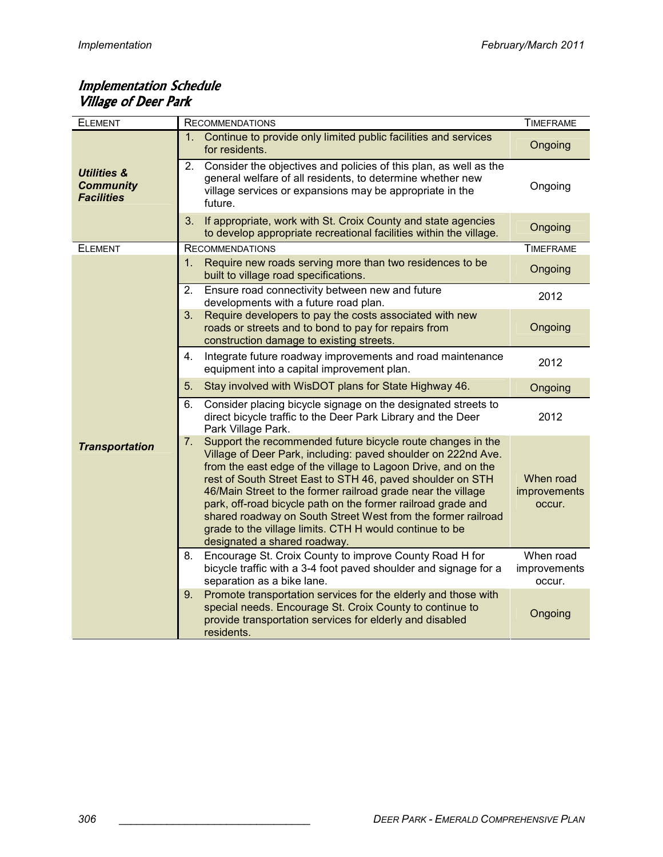#### Implementation Schedule Village of Deer Park

| <b>ELEMENT</b>                                                  | <b>RECOMMENDATIONS</b>                                                                                                                                                                                                                                                                                                                                                                                                                                                                                                                                       | <b>TIMEFRAME</b>                    |
|-----------------------------------------------------------------|--------------------------------------------------------------------------------------------------------------------------------------------------------------------------------------------------------------------------------------------------------------------------------------------------------------------------------------------------------------------------------------------------------------------------------------------------------------------------------------------------------------------------------------------------------------|-------------------------------------|
| <b>Utilities &amp;</b><br><b>Community</b><br><b>Facilities</b> | Continue to provide only limited public facilities and services<br>1.<br>for residents.                                                                                                                                                                                                                                                                                                                                                                                                                                                                      | Ongoing                             |
|                                                                 | 2.<br>Consider the objectives and policies of this plan, as well as the<br>general welfare of all residents, to determine whether new<br>village services or expansions may be appropriate in the<br>future.                                                                                                                                                                                                                                                                                                                                                 | Ongoing                             |
|                                                                 | 3.<br>If appropriate, work with St. Croix County and state agencies<br>to develop appropriate recreational facilities within the village.                                                                                                                                                                                                                                                                                                                                                                                                                    | Ongoing                             |
| <b>ELEMENT</b>                                                  | <b>RECOMMENDATIONS</b>                                                                                                                                                                                                                                                                                                                                                                                                                                                                                                                                       | <b>TIMEFRAME</b>                    |
|                                                                 | 1.<br>Require new roads serving more than two residences to be<br>built to village road specifications.                                                                                                                                                                                                                                                                                                                                                                                                                                                      | Ongoing                             |
|                                                                 | 2.<br>Ensure road connectivity between new and future<br>developments with a future road plan.                                                                                                                                                                                                                                                                                                                                                                                                                                                               | 2012                                |
|                                                                 | Require developers to pay the costs associated with new<br>3.<br>roads or streets and to bond to pay for repairs from<br>construction damage to existing streets.                                                                                                                                                                                                                                                                                                                                                                                            | Ongoing                             |
|                                                                 | Integrate future roadway improvements and road maintenance<br>4.<br>equipment into a capital improvement plan.                                                                                                                                                                                                                                                                                                                                                                                                                                               | 2012                                |
|                                                                 | 5.<br>Stay involved with WisDOT plans for State Highway 46.                                                                                                                                                                                                                                                                                                                                                                                                                                                                                                  | Ongoing                             |
| <b>Transportation</b>                                           | 6.<br>Consider placing bicycle signage on the designated streets to<br>direct bicycle traffic to the Deer Park Library and the Deer<br>Park Village Park.                                                                                                                                                                                                                                                                                                                                                                                                    | 2012                                |
|                                                                 | 7.<br>Support the recommended future bicycle route changes in the<br>Village of Deer Park, including: paved shoulder on 222nd Ave.<br>from the east edge of the village to Lagoon Drive, and on the<br>rest of South Street East to STH 46, paved shoulder on STH<br>46/Main Street to the former railroad grade near the village<br>park, off-road bicycle path on the former railroad grade and<br>shared roadway on South Street West from the former railroad<br>grade to the village limits. CTH H would continue to be<br>designated a shared roadway. | When road<br>improvements<br>occur. |
|                                                                 | Encourage St. Croix County to improve County Road H for<br>8.<br>bicycle traffic with a 3-4 foot paved shoulder and signage for a<br>separation as a bike lane.                                                                                                                                                                                                                                                                                                                                                                                              | When road<br>improvements<br>occur. |
|                                                                 | Promote transportation services for the elderly and those with<br>9.<br>special needs. Encourage St. Croix County to continue to<br>provide transportation services for elderly and disabled<br>residents.                                                                                                                                                                                                                                                                                                                                                   | Ongoing                             |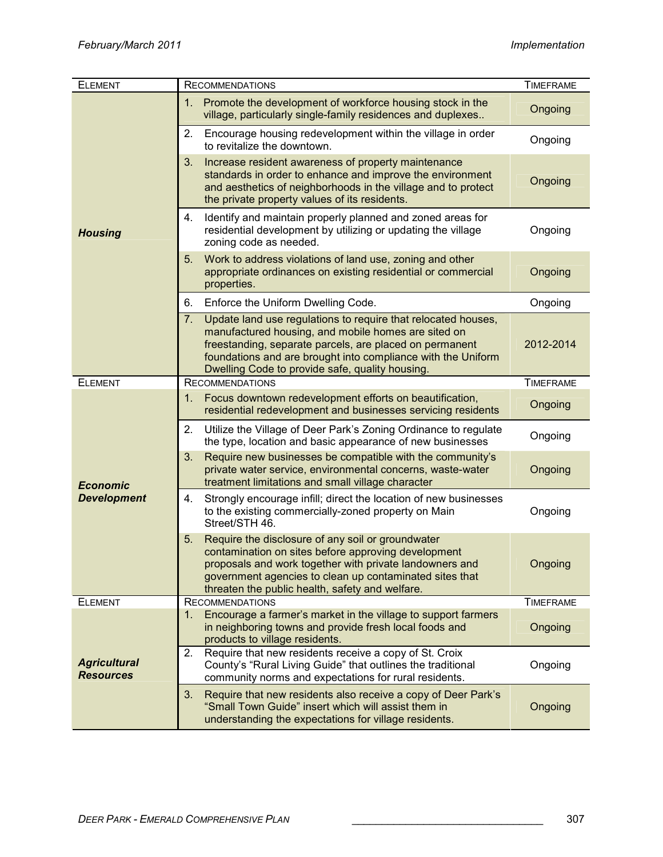| <b>ELEMENT</b>                          | <b>RECOMMENDATIONS</b>                                                                                                                                                                                                                                                                                   | <b>TIMEFRAME</b> |
|-----------------------------------------|----------------------------------------------------------------------------------------------------------------------------------------------------------------------------------------------------------------------------------------------------------------------------------------------------------|------------------|
| <b>Housing</b>                          | Promote the development of workforce housing stock in the<br>1.<br>village, particularly single-family residences and duplexes                                                                                                                                                                           | Ongoing          |
|                                         | 2.<br>Encourage housing redevelopment within the village in order<br>to revitalize the downtown.                                                                                                                                                                                                         | Ongoing          |
|                                         | 3.<br>Increase resident awareness of property maintenance<br>standards in order to enhance and improve the environment<br>and aesthetics of neighborhoods in the village and to protect<br>the private property values of its residents.                                                                 | Ongoing          |
|                                         | Identify and maintain properly planned and zoned areas for<br>4.<br>residential development by utilizing or updating the village<br>zoning code as needed.                                                                                                                                               | Ongoing          |
|                                         | Work to address violations of land use, zoning and other<br>5.<br>appropriate ordinances on existing residential or commercial<br>properties.                                                                                                                                                            | Ongoing          |
|                                         | 6.<br>Enforce the Uniform Dwelling Code.                                                                                                                                                                                                                                                                 | Ongoing          |
|                                         | 7.<br>Update land use regulations to require that relocated houses,<br>manufactured housing, and mobile homes are sited on<br>freestanding, separate parcels, are placed on permanent<br>foundations and are brought into compliance with the Uniform<br>Dwelling Code to provide safe, quality housing. | 2012-2014        |
| <b>ELEMENT</b>                          | <b>RECOMMENDATIONS</b>                                                                                                                                                                                                                                                                                   | <b>TIMEFRAME</b> |
|                                         | Focus downtown redevelopment efforts on beautification,<br>1.<br>residential redevelopment and businesses servicing residents                                                                                                                                                                            | Ongoing          |
|                                         | 2.<br>Utilize the Village of Deer Park's Zoning Ordinance to regulate<br>the type, location and basic appearance of new businesses                                                                                                                                                                       | Ongoing          |
| <b>Economic</b>                         | 3.<br>Require new businesses be compatible with the community's<br>private water service, environmental concerns, waste-water<br>treatment limitations and small village character                                                                                                                       | Ongoing          |
| <b>Development</b>                      | Strongly encourage infill; direct the location of new businesses<br>4.<br>to the existing commercially-zoned property on Main<br>Street/STH 46.                                                                                                                                                          | Ongoing          |
|                                         | 5.<br>Require the disclosure of any soil or groundwater<br>contamination on sites before approving development<br>proposals and work together with private landowners and<br>government agencies to clean up contaminated sites that<br>threaten the public health, safety and welfare.                  | Ongoing          |
| <b>ELEMENT</b>                          | <b>RECOMMENDATIONS</b>                                                                                                                                                                                                                                                                                   | <b>TIMEFRAME</b> |
| <b>Agricultural</b><br><b>Resources</b> | Encourage a farmer's market in the village to support farmers<br>$1_{-}$<br>in neighboring towns and provide fresh local foods and<br>products to village residents.                                                                                                                                     | Ongoing          |
|                                         | Require that new residents receive a copy of St. Croix<br>2.<br>County's "Rural Living Guide" that outlines the traditional<br>community norms and expectations for rural residents.                                                                                                                     | Ongoing          |
|                                         | 3.<br>Require that new residents also receive a copy of Deer Park's<br>"Small Town Guide" insert which will assist them in<br>understanding the expectations for village residents.                                                                                                                      | Ongoing          |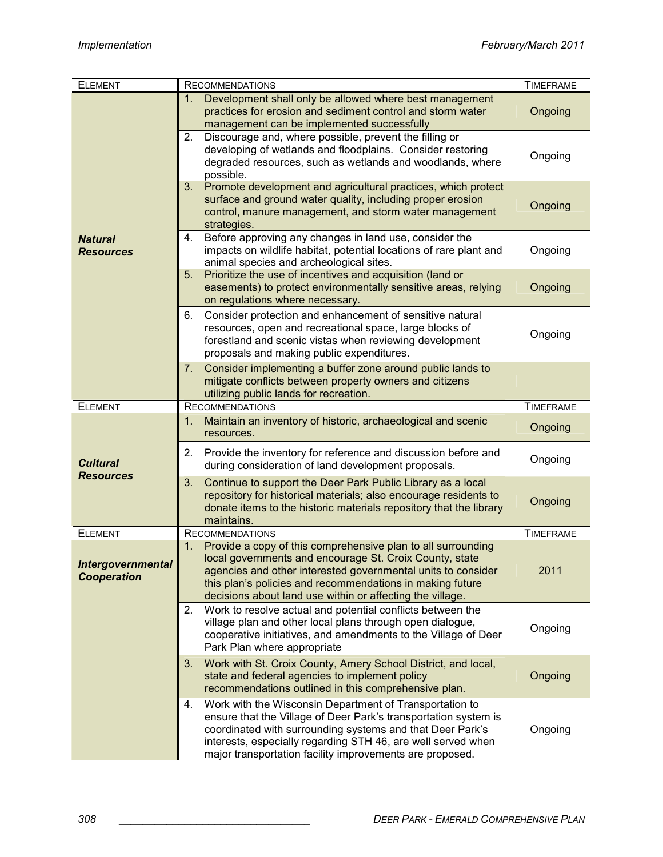| <b>ELEMENT</b>                                 | <b>RECOMMENDATIONS</b>                                                                                                                                                                                                                                                                                                    | <b>TIMEFRAME</b> |
|------------------------------------------------|---------------------------------------------------------------------------------------------------------------------------------------------------------------------------------------------------------------------------------------------------------------------------------------------------------------------------|------------------|
|                                                | Development shall only be allowed where best management<br>1.<br>practices for erosion and sediment control and storm water<br>management can be implemented successfully                                                                                                                                                 | Ongoing          |
|                                                | Discourage and, where possible, prevent the filling or<br>2.<br>developing of wetlands and floodplains. Consider restoring<br>degraded resources, such as wetlands and woodlands, where<br>possible.                                                                                                                      | Ongoing          |
|                                                | 3 <sub>1</sub><br>Promote development and agricultural practices, which protect<br>surface and ground water quality, including proper erosion<br>control, manure management, and storm water management<br>strategies.                                                                                                    | Ongoing          |
| <b>Natural</b><br><b>Resources</b>             | Before approving any changes in land use, consider the<br>4.<br>impacts on wildlife habitat, potential locations of rare plant and<br>animal species and archeological sites.                                                                                                                                             | Ongoing          |
|                                                | Prioritize the use of incentives and acquisition (land or<br>5.<br>easements) to protect environmentally sensitive areas, relying<br>on regulations where necessary.                                                                                                                                                      | Ongoing          |
|                                                | 6.<br>Consider protection and enhancement of sensitive natural<br>resources, open and recreational space, large blocks of<br>forestland and scenic vistas when reviewing development<br>proposals and making public expenditures.                                                                                         | Ongoing          |
|                                                | Consider implementing a buffer zone around public lands to<br>7.<br>mitigate conflicts between property owners and citizens<br>utilizing public lands for recreation.                                                                                                                                                     |                  |
| <b>ELEMENT</b>                                 | <b>RECOMMENDATIONS</b>                                                                                                                                                                                                                                                                                                    | <b>TIMEFRAME</b> |
| <b>Cultural</b><br><b>Resources</b>            | Maintain an inventory of historic, archaeological and scenic<br>1.<br>resources.                                                                                                                                                                                                                                          | Ongoing          |
|                                                | 2.<br>Provide the inventory for reference and discussion before and<br>during consideration of land development proposals.                                                                                                                                                                                                | Ongoing          |
|                                                | 3.<br>Continue to support the Deer Park Public Library as a local<br>repository for historical materials; also encourage residents to<br>donate items to the historic materials repository that the library<br>maintains.                                                                                                 | Ongoing          |
| <b>ELEMENT</b>                                 | <b>RECOMMENDATIONS</b>                                                                                                                                                                                                                                                                                                    | <b>TIMEFRAME</b> |
| <b>Intergovernmental</b><br><b>Cooperation</b> | Provide a copy of this comprehensive plan to all surrounding<br>1.<br>local governments and encourage St. Croix County, state<br>agencies and other interested governmental units to consider<br>this plan's policies and recommendations in making future<br>decisions about land use within or affecting the village.   | 2011             |
|                                                | 2.<br>Work to resolve actual and potential conflicts between the<br>village plan and other local plans through open dialogue,<br>cooperative initiatives, and amendments to the Village of Deer<br>Park Plan where appropriate                                                                                            | Ongoing          |
|                                                | 3.<br>Work with St. Croix County, Amery School District, and local,<br>state and federal agencies to implement policy<br>recommendations outlined in this comprehensive plan.                                                                                                                                             | Ongoing          |
|                                                | Work with the Wisconsin Department of Transportation to<br>4.<br>ensure that the Village of Deer Park's transportation system is<br>coordinated with surrounding systems and that Deer Park's<br>interests, especially regarding STH 46, are well served when<br>major transportation facility improvements are proposed. | Ongoing          |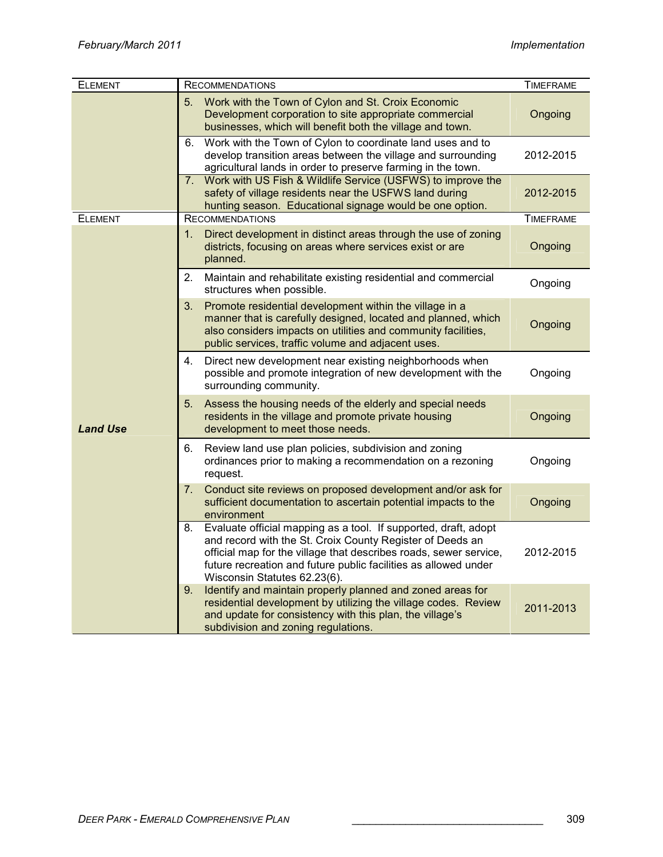| <b>ELEMENT</b>  | <b>RECOMMENDATIONS</b>                                                                                                                                                                                                                                                                                     | <b>TIMEFRAME</b> |
|-----------------|------------------------------------------------------------------------------------------------------------------------------------------------------------------------------------------------------------------------------------------------------------------------------------------------------------|------------------|
|                 | Work with the Town of Cylon and St. Croix Economic<br>5.<br>Development corporation to site appropriate commercial<br>businesses, which will benefit both the village and town.                                                                                                                            | Ongoing          |
|                 | Work with the Town of Cylon to coordinate land uses and to<br>6.<br>develop transition areas between the village and surrounding<br>agricultural lands in order to preserve farming in the town.                                                                                                           | 2012-2015        |
|                 | 7. Work with US Fish & Wildlife Service (USFWS) to improve the<br>safety of village residents near the USFWS land during<br>hunting season. Educational signage would be one option.                                                                                                                       | 2012-2015        |
| <b>ELEMENT</b>  | <b>RECOMMENDATIONS</b>                                                                                                                                                                                                                                                                                     | <b>TIMEFRAME</b> |
|                 | Direct development in distinct areas through the use of zoning<br>1.<br>districts, focusing on areas where services exist or are<br>planned.                                                                                                                                                               | Ongoing          |
|                 | 2.<br>Maintain and rehabilitate existing residential and commercial<br>structures when possible.                                                                                                                                                                                                           | Ongoing          |
| <b>Land Use</b> | 3.<br>Promote residential development within the village in a<br>manner that is carefully designed, located and planned, which<br>also considers impacts on utilities and community facilities,<br>public services, traffic volume and adjacent uses.                                                      | Ongoing          |
|                 | 4.<br>Direct new development near existing neighborhoods when<br>possible and promote integration of new development with the<br>surrounding community.                                                                                                                                                    | Ongoing          |
|                 | 5.<br>Assess the housing needs of the elderly and special needs<br>residents in the village and promote private housing<br>development to meet those needs.                                                                                                                                                | Ongoing          |
|                 | Review land use plan policies, subdivision and zoning<br>6.<br>ordinances prior to making a recommendation on a rezoning<br>request.                                                                                                                                                                       | Ongoing          |
|                 | 7.<br>Conduct site reviews on proposed development and/or ask for<br>sufficient documentation to ascertain potential impacts to the<br>environment                                                                                                                                                         | Ongoing          |
|                 | Evaluate official mapping as a tool. If supported, draft, adopt<br>8.<br>and record with the St. Croix County Register of Deeds an<br>official map for the village that describes roads, sewer service,<br>future recreation and future public facilities as allowed under<br>Wisconsin Statutes 62.23(6). | 2012-2015        |
|                 | Identify and maintain properly planned and zoned areas for<br>9.<br>residential development by utilizing the village codes. Review<br>and update for consistency with this plan, the village's<br>subdivision and zoning regulations.                                                                      | 2011-2013        |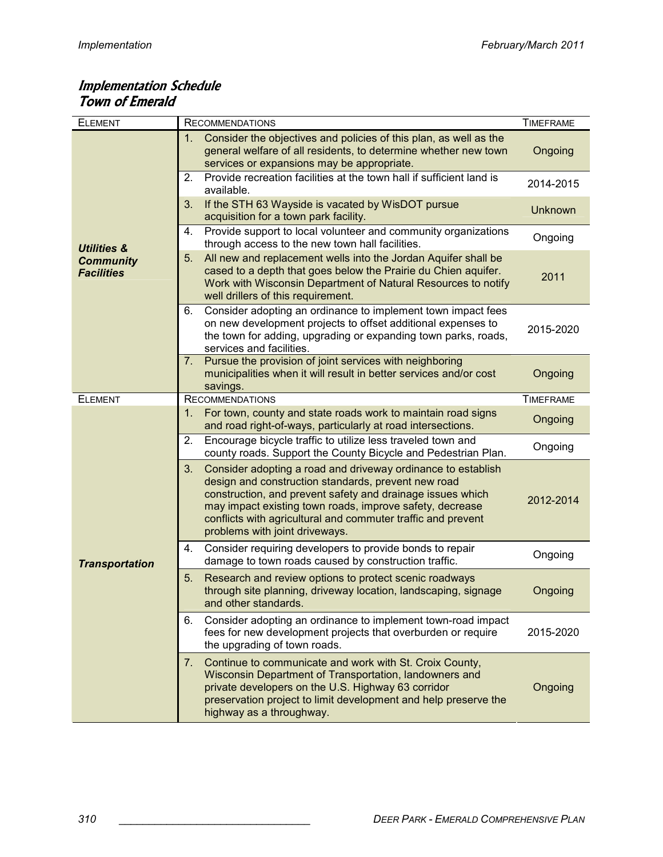### Implementation Schedule Town of Emerald

| <b>ELEMENT</b>                        | <b>RECOMMENDATIONS</b>                                                                                                                                                                                                                                                                                                                                | <b>TIMEFRAME</b> |
|---------------------------------------|-------------------------------------------------------------------------------------------------------------------------------------------------------------------------------------------------------------------------------------------------------------------------------------------------------------------------------------------------------|------------------|
|                                       | Consider the objectives and policies of this plan, as well as the<br>1.<br>general welfare of all residents, to determine whether new town<br>services or expansions may be appropriate.                                                                                                                                                              | Ongoing          |
|                                       | Provide recreation facilities at the town hall if sufficient land is<br>2.<br>available.                                                                                                                                                                                                                                                              | 2014-2015        |
|                                       | If the STH 63 Wayside is vacated by WisDOT pursue<br>3.<br>acquisition for a town park facility.                                                                                                                                                                                                                                                      | <b>Unknown</b>   |
| <b>Utilities &amp;</b>                | Provide support to local volunteer and community organizations<br>4.<br>through access to the new town hall facilities.                                                                                                                                                                                                                               | Ongoing          |
| <b>Community</b><br><b>Facilities</b> | All new and replacement wells into the Jordan Aquifer shall be<br>5.<br>cased to a depth that goes below the Prairie du Chien aquifer.<br>Work with Wisconsin Department of Natural Resources to notify<br>well drillers of this requirement.                                                                                                         | 2011             |
|                                       | Consider adopting an ordinance to implement town impact fees<br>6.<br>on new development projects to offset additional expenses to<br>the town for adding, upgrading or expanding town parks, roads,<br>services and facilities.                                                                                                                      | 2015-2020        |
|                                       | Pursue the provision of joint services with neighboring<br>7.<br>municipalities when it will result in better services and/or cost<br>savings.                                                                                                                                                                                                        | Ongoing          |
| <b>ELEMENT</b>                        | <b>RECOMMENDATIONS</b>                                                                                                                                                                                                                                                                                                                                | <b>TIMEFRAME</b> |
|                                       | For town, county and state roads work to maintain road signs<br>1.<br>and road right-of-ways, particularly at road intersections.                                                                                                                                                                                                                     | Ongoing          |
|                                       | Encourage bicycle traffic to utilize less traveled town and<br>2.<br>county roads. Support the County Bicycle and Pedestrian Plan.                                                                                                                                                                                                                    | Ongoing          |
| <b>Transportation</b>                 | 3.<br>Consider adopting a road and driveway ordinance to establish<br>design and construction standards, prevent new road<br>construction, and prevent safety and drainage issues which<br>may impact existing town roads, improve safety, decrease<br>conflicts with agricultural and commuter traffic and prevent<br>problems with joint driveways. | 2012-2014        |
|                                       | Consider requiring developers to provide bonds to repair<br>4.<br>damage to town roads caused by construction traffic.                                                                                                                                                                                                                                | Ongoing          |
|                                       | 5.<br>Research and review options to protect scenic roadways<br>through site planning, driveway location, landscaping, signage<br>and other standards.                                                                                                                                                                                                | Ongoing          |
|                                       | 6.<br>Consider adopting an ordinance to implement town-road impact<br>fees for new development projects that overburden or require<br>the upgrading of town roads.                                                                                                                                                                                    | 2015-2020        |
|                                       | 7.<br>Continue to communicate and work with St. Croix County,<br>Wisconsin Department of Transportation, landowners and<br>private developers on the U.S. Highway 63 corridor<br>preservation project to limit development and help preserve the<br>highway as a throughway.                                                                          | Ongoing          |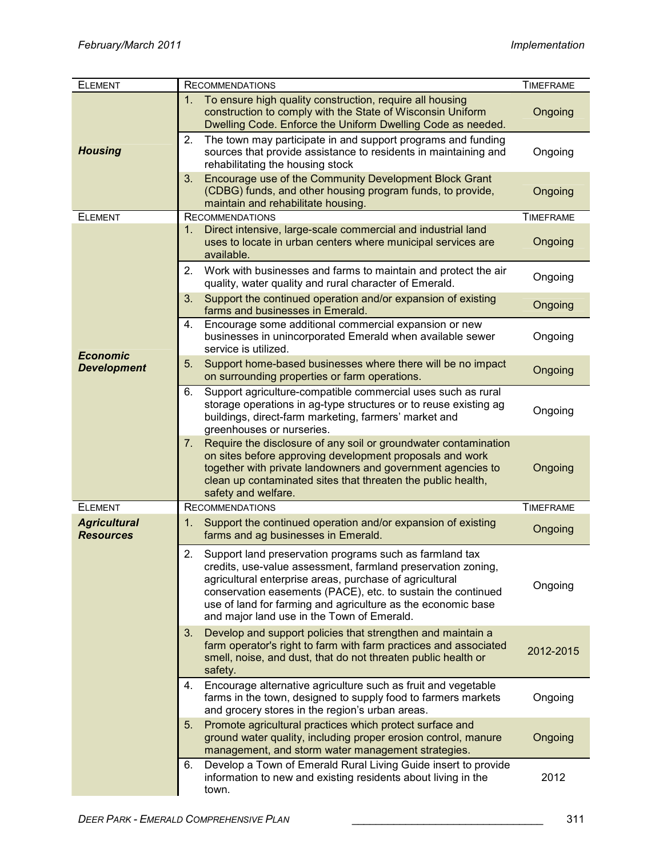| <b>ELEMENT</b>                          | <b>RECOMMENDATIONS</b>                                                                                                                                                                                                                                                                                                                                                 | <b>TIMEFRAME</b> |
|-----------------------------------------|------------------------------------------------------------------------------------------------------------------------------------------------------------------------------------------------------------------------------------------------------------------------------------------------------------------------------------------------------------------------|------------------|
| <b>Housing</b>                          | To ensure high quality construction, require all housing<br>1.<br>construction to comply with the State of Wisconsin Uniform<br>Dwelling Code. Enforce the Uniform Dwelling Code as needed.                                                                                                                                                                            | Ongoing          |
|                                         | 2.<br>The town may participate in and support programs and funding<br>sources that provide assistance to residents in maintaining and<br>rehabilitating the housing stock                                                                                                                                                                                              | Ongoing          |
|                                         | 3.<br>Encourage use of the Community Development Block Grant<br>(CDBG) funds, and other housing program funds, to provide,<br>maintain and rehabilitate housing.                                                                                                                                                                                                       | Ongoing          |
| <b>ELEMENT</b>                          | <b>RECOMMENDATIONS</b>                                                                                                                                                                                                                                                                                                                                                 | <b>TIMEFRAME</b> |
|                                         | Direct intensive, large-scale commercial and industrial land<br>1.<br>uses to locate in urban centers where municipal services are<br>available.                                                                                                                                                                                                                       | Ongoing          |
|                                         | 2. Work with businesses and farms to maintain and protect the air<br>quality, water quality and rural character of Emerald.                                                                                                                                                                                                                                            | Ongoing          |
|                                         | 3 <sub>1</sub><br>Support the continued operation and/or expansion of existing<br>farms and businesses in Emerald.                                                                                                                                                                                                                                                     | Ongoing          |
| <b>Economic</b>                         | Encourage some additional commercial expansion or new<br>4.<br>businesses in unincorporated Emerald when available sewer<br>service is utilized.                                                                                                                                                                                                                       | Ongoing          |
| <b>Development</b>                      | 5.<br>Support home-based businesses where there will be no impact<br>on surrounding properties or farm operations.                                                                                                                                                                                                                                                     | Ongoing          |
|                                         | Support agriculture-compatible commercial uses such as rural<br>6.<br>storage operations in ag-type structures or to reuse existing ag<br>buildings, direct-farm marketing, farmers' market and<br>greenhouses or nurseries.                                                                                                                                           | Ongoing          |
|                                         | Require the disclosure of any soil or groundwater contamination<br>7.<br>on sites before approving development proposals and work<br>together with private landowners and government agencies to<br>clean up contaminated sites that threaten the public health,<br>safety and welfare.                                                                                | Ongoing          |
| <b>ELEMENT</b>                          | <b>RECOMMENDATIONS</b>                                                                                                                                                                                                                                                                                                                                                 | <b>TIMEFRAME</b> |
| <b>Agricultural</b><br><b>Resources</b> | 1.<br>Support the continued operation and/or expansion of existing<br>farms and ag businesses in Emerald.                                                                                                                                                                                                                                                              | Ongoing          |
|                                         | 2.<br>Support land preservation programs such as farmland tax<br>credits, use-value assessment, farmland preservation zoning,<br>agricultural enterprise areas, purchase of agricultural<br>conservation easements (PACE), etc. to sustain the continued<br>use of land for farming and agriculture as the economic base<br>and major land use in the Town of Emerald. | Ongoing          |
|                                         | 3.<br>Develop and support policies that strengthen and maintain a<br>farm operator's right to farm with farm practices and associated<br>smell, noise, and dust, that do not threaten public health or<br>safety.                                                                                                                                                      | 2012-2015        |
|                                         | Encourage alternative agriculture such as fruit and vegetable<br>4.<br>farms in the town, designed to supply food to farmers markets<br>and grocery stores in the region's urban areas.                                                                                                                                                                                | Ongoing          |
|                                         | Promote agricultural practices which protect surface and<br>5.<br>ground water quality, including proper erosion control, manure<br>management, and storm water management strategies.                                                                                                                                                                                 | Ongoing          |
|                                         | Develop a Town of Emerald Rural Living Guide insert to provide<br>6.<br>information to new and existing residents about living in the<br>town.                                                                                                                                                                                                                         | 2012             |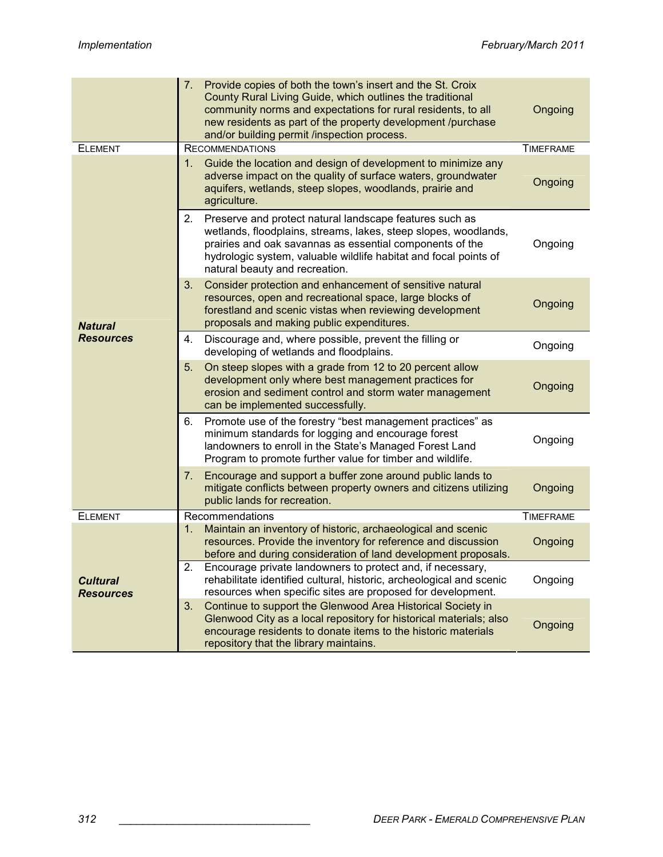|                                     | 7.<br>Provide copies of both the town's insert and the St. Croix<br>County Rural Living Guide, which outlines the traditional<br>community norms and expectations for rural residents, to all<br>new residents as part of the property development /purchase<br>and/or building permit /inspection process. | Ongoing          |
|-------------------------------------|-------------------------------------------------------------------------------------------------------------------------------------------------------------------------------------------------------------------------------------------------------------------------------------------------------------|------------------|
| <b>ELEMENT</b>                      | <b>RECOMMENDATIONS</b>                                                                                                                                                                                                                                                                                      | <b>TIMEFRAME</b> |
| <b>Natural</b><br><b>Resources</b>  | Guide the location and design of development to minimize any<br>1.<br>adverse impact on the quality of surface waters, groundwater<br>aquifers, wetlands, steep slopes, woodlands, prairie and<br>agriculture.                                                                                              | Ongoing          |
|                                     | 2.<br>Preserve and protect natural landscape features such as<br>wetlands, floodplains, streams, lakes, steep slopes, woodlands,<br>prairies and oak savannas as essential components of the<br>hydrologic system, valuable wildlife habitat and focal points of<br>natural beauty and recreation.          | Ongoing          |
|                                     | 3.<br>Consider protection and enhancement of sensitive natural<br>resources, open and recreational space, large blocks of<br>forestland and scenic vistas when reviewing development<br>proposals and making public expenditures.                                                                           | Ongoing          |
|                                     | Discourage and, where possible, prevent the filling or<br>4.<br>developing of wetlands and floodplains.                                                                                                                                                                                                     | Ongoing          |
|                                     | 5.<br>On steep slopes with a grade from 12 to 20 percent allow<br>development only where best management practices for<br>erosion and sediment control and storm water management<br>can be implemented successfully.                                                                                       | Ongoing          |
|                                     | Promote use of the forestry "best management practices" as<br>6.<br>minimum standards for logging and encourage forest<br>landowners to enroll in the State's Managed Forest Land<br>Program to promote further value for timber and wildlife.                                                              | Ongoing          |
|                                     | Encourage and support a buffer zone around public lands to<br>7.<br>mitigate conflicts between property owners and citizens utilizing<br>public lands for recreation.                                                                                                                                       | Ongoing          |
| <b>ELEMENT</b>                      | Recommendations                                                                                                                                                                                                                                                                                             | <b>TIMEFRAME</b> |
| <b>Cultural</b><br><b>Resources</b> | Maintain an inventory of historic, archaeological and scenic<br>1.<br>resources. Provide the inventory for reference and discussion<br>before and during consideration of land development proposals.                                                                                                       | Ongoing          |
|                                     | Encourage private landowners to protect and, if necessary,<br>2.<br>rehabilitate identified cultural, historic, archeological and scenic<br>resources when specific sites are proposed for development.                                                                                                     | Ongoing          |
|                                     | Continue to support the Glenwood Area Historical Society in<br>3.<br>Glenwood City as a local repository for historical materials; also<br>encourage residents to donate items to the historic materials<br>repository that the library maintains.                                                          | Ongoing          |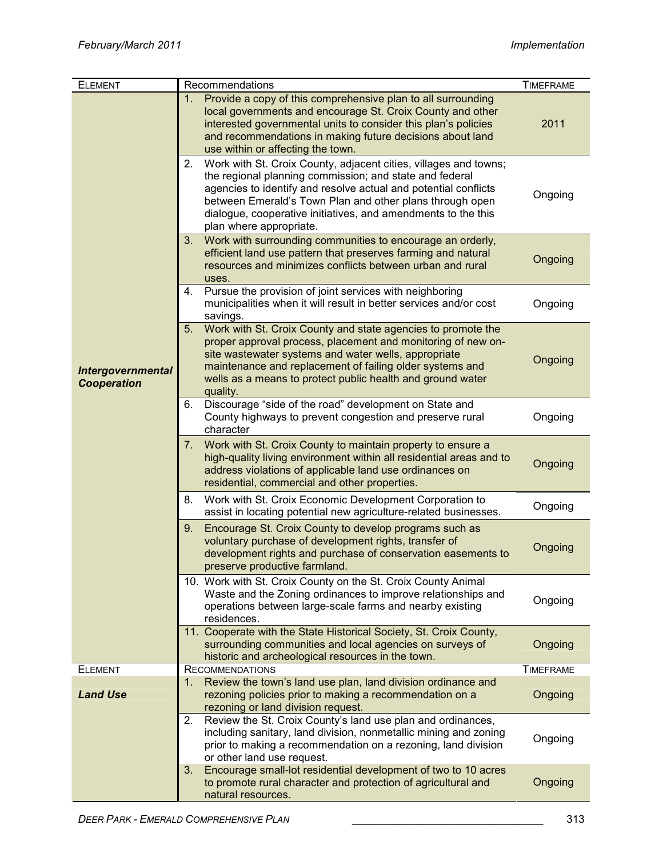| <b>ELEMENT</b>                                 | Recommendations                                                                                                                                                                                                                                                                                                                                              | <b>TIMEFRAME</b> |
|------------------------------------------------|--------------------------------------------------------------------------------------------------------------------------------------------------------------------------------------------------------------------------------------------------------------------------------------------------------------------------------------------------------------|------------------|
|                                                | Provide a copy of this comprehensive plan to all surrounding<br>1.<br>local governments and encourage St. Croix County and other<br>interested governmental units to consider this plan's policies<br>and recommendations in making future decisions about land<br>use within or affecting the town.                                                         | 2011             |
|                                                | 2.<br>Work with St. Croix County, adjacent cities, villages and towns;<br>the regional planning commission; and state and federal<br>agencies to identify and resolve actual and potential conflicts<br>between Emerald's Town Plan and other plans through open<br>dialogue, cooperative initiatives, and amendments to the this<br>plan where appropriate. | Ongoing          |
|                                                | Work with surrounding communities to encourage an orderly,<br>3.<br>efficient land use pattern that preserves farming and natural<br>resources and minimizes conflicts between urban and rural<br>uses.                                                                                                                                                      | Ongoing          |
|                                                | Pursue the provision of joint services with neighboring<br>4.<br>municipalities when it will result in better services and/or cost<br>savings.                                                                                                                                                                                                               | Ongoing          |
| <b>Intergovernmental</b><br><b>Cooperation</b> | Work with St. Croix County and state agencies to promote the<br>5.<br>proper approval process, placement and monitoring of new on-<br>site wastewater systems and water wells, appropriate<br>maintenance and replacement of failing older systems and<br>wells as a means to protect public health and ground water<br>quality.                             | Ongoing          |
|                                                | Discourage "side of the road" development on State and<br>6.<br>County highways to prevent congestion and preserve rural<br>character                                                                                                                                                                                                                        | Ongoing          |
|                                                | Work with St. Croix County to maintain property to ensure a<br>7.<br>high-quality living environment within all residential areas and to<br>address violations of applicable land use ordinances on<br>residential, commercial and other properties.                                                                                                         | Ongoing          |
|                                                | 8.<br>Work with St. Croix Economic Development Corporation to<br>assist in locating potential new agriculture-related businesses.                                                                                                                                                                                                                            | Ongoing          |
|                                                | 9.<br>Encourage St. Croix County to develop programs such as<br>voluntary purchase of development rights, transfer of<br>development rights and purchase of conservation easements to<br>preserve productive farmland.                                                                                                                                       | Ongoing          |
|                                                | 10. Work with St. Croix County on the St. Croix County Animal<br>Waste and the Zoning ordinances to improve relationships and<br>operations between large-scale farms and nearby existing<br>residences.                                                                                                                                                     | Ongoing          |
|                                                | 11. Cooperate with the State Historical Society, St. Croix County,<br>surrounding communities and local agencies on surveys of<br>historic and archeological resources in the town.                                                                                                                                                                          | Ongoing          |
| <b>ELEMENT</b>                                 | <b>RECOMMENDATIONS</b>                                                                                                                                                                                                                                                                                                                                       | <b>TIMEFRAME</b> |
| <b>Land Use</b>                                | Review the town's land use plan, land division ordinance and<br>1.<br>rezoning policies prior to making a recommendation on a<br>rezoning or land division request.                                                                                                                                                                                          | Ongoing          |
|                                                | Review the St. Croix County's land use plan and ordinances,<br>2.<br>including sanitary, land division, nonmetallic mining and zoning<br>prior to making a recommendation on a rezoning, land division<br>or other land use request.                                                                                                                         | Ongoing          |
|                                                | 3.<br>Encourage small-lot residential development of two to 10 acres<br>to promote rural character and protection of agricultural and<br>natural resources.                                                                                                                                                                                                  | Ongoing          |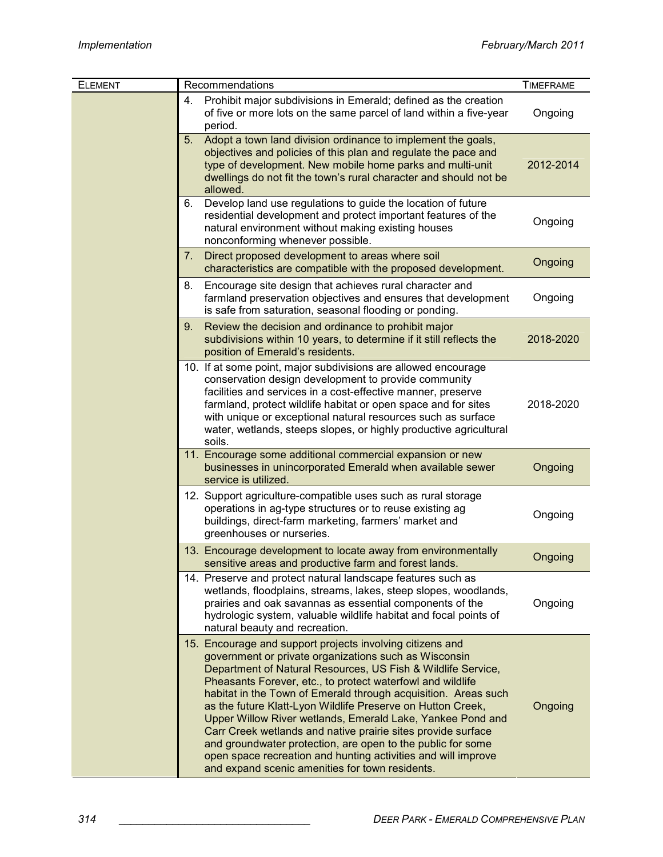| <b>ELEMENT</b> | Recommendations                                                                                                                                                                                                                                                                                                                                                                                                                                                                                                                                                                                                                                                                                    | <b>TIMEFRAME</b> |
|----------------|----------------------------------------------------------------------------------------------------------------------------------------------------------------------------------------------------------------------------------------------------------------------------------------------------------------------------------------------------------------------------------------------------------------------------------------------------------------------------------------------------------------------------------------------------------------------------------------------------------------------------------------------------------------------------------------------------|------------------|
|                | Prohibit major subdivisions in Emerald; defined as the creation<br>4.<br>of five or more lots on the same parcel of land within a five-year<br>period.                                                                                                                                                                                                                                                                                                                                                                                                                                                                                                                                             | Ongoing          |
|                | Adopt a town land division ordinance to implement the goals,<br>5.<br>objectives and policies of this plan and regulate the pace and<br>type of development. New mobile home parks and multi-unit<br>dwellings do not fit the town's rural character and should not be<br>allowed.                                                                                                                                                                                                                                                                                                                                                                                                                 | 2012-2014        |
|                | Develop land use regulations to guide the location of future<br>6.<br>residential development and protect important features of the<br>natural environment without making existing houses<br>nonconforming whenever possible.                                                                                                                                                                                                                                                                                                                                                                                                                                                                      | Ongoing          |
|                | 7.<br>Direct proposed development to areas where soil<br>characteristics are compatible with the proposed development.                                                                                                                                                                                                                                                                                                                                                                                                                                                                                                                                                                             | Ongoing          |
|                | 8.<br>Encourage site design that achieves rural character and<br>farmland preservation objectives and ensures that development<br>is safe from saturation, seasonal flooding or ponding.                                                                                                                                                                                                                                                                                                                                                                                                                                                                                                           | Ongoing          |
|                | 9.<br>Review the decision and ordinance to prohibit major<br>subdivisions within 10 years, to determine if it still reflects the<br>position of Emerald's residents.                                                                                                                                                                                                                                                                                                                                                                                                                                                                                                                               | 2018-2020        |
|                | 10. If at some point, major subdivisions are allowed encourage<br>conservation design development to provide community<br>facilities and services in a cost-effective manner, preserve<br>farmland, protect wildlife habitat or open space and for sites<br>with unique or exceptional natural resources such as surface<br>water, wetlands, steeps slopes, or highly productive agricultural<br>soils.                                                                                                                                                                                                                                                                                            | 2018-2020        |
|                | 11. Encourage some additional commercial expansion or new<br>businesses in unincorporated Emerald when available sewer<br>service is utilized.                                                                                                                                                                                                                                                                                                                                                                                                                                                                                                                                                     | Ongoing          |
|                | 12. Support agriculture-compatible uses such as rural storage<br>operations in ag-type structures or to reuse existing ag<br>buildings, direct-farm marketing, farmers' market and<br>greenhouses or nurseries.                                                                                                                                                                                                                                                                                                                                                                                                                                                                                    | Ongoing          |
|                | 13. Encourage development to locate away from environmentally<br>sensitive areas and productive farm and forest lands.                                                                                                                                                                                                                                                                                                                                                                                                                                                                                                                                                                             | Ongoing          |
|                | 14. Preserve and protect natural landscape features such as<br>wetlands, floodplains, streams, lakes, steep slopes, woodlands,<br>prairies and oak savannas as essential components of the<br>hydrologic system, valuable wildlife habitat and focal points of<br>natural beauty and recreation.                                                                                                                                                                                                                                                                                                                                                                                                   | Ongoing          |
|                | 15. Encourage and support projects involving citizens and<br>government or private organizations such as Wisconsin<br>Department of Natural Resources, US Fish & Wildlife Service,<br>Pheasants Forever, etc., to protect waterfowl and wildlife<br>habitat in the Town of Emerald through acquisition. Areas such<br>as the future Klatt-Lyon Wildlife Preserve on Hutton Creek,<br>Upper Willow River wetlands, Emerald Lake, Yankee Pond and<br>Carr Creek wetlands and native prairie sites provide surface<br>and groundwater protection, are open to the public for some<br>open space recreation and hunting activities and will improve<br>and expand scenic amenities for town residents. | Ongoing          |